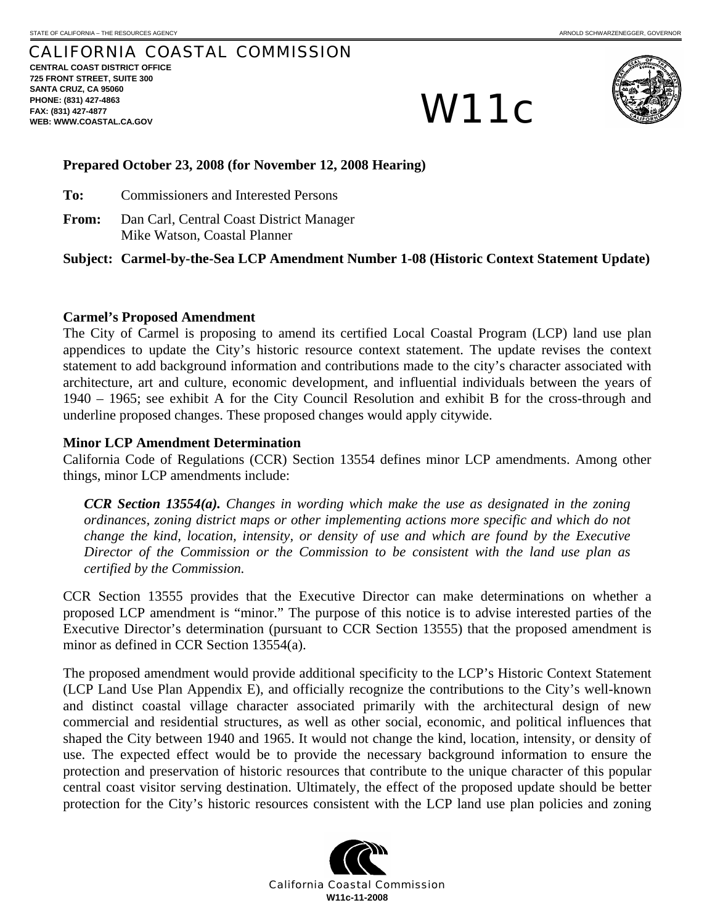# CALIFORNIA COASTAL COMMISSION **CENTRAL COAST DISTRICT OFFICE**

**725 FRONT STREET, SUITE 300 SANTA CRUZ, CA 95060 PHONE: (831) 427-4863 FAX: (831) 427-4877**  PHONE: (831) 427-4863<br>FAX: (831) 427-4863<br>WEB: WWW.COASTAL.CA.GOV



#### **Prepared October 23, 2008 (for November 12, 2008 Hearing)**

- **To:** Commissioners and Interested Persons
- **From:** Dan Carl, Central Coast District Manager Mike Watson, Coastal Planner

**Subject: Carmel-by-the-Sea LCP Amendment Number 1-08 (Historic Context Statement Update)** 

## **Carmel's Proposed Amendment**

The City of Carmel is proposing to amend its certified Local Coastal Program (LCP) land use plan appendices to update the City's historic resource context statement. The update revises the context statement to add background information and contributions made to the city's character associated with architecture, art and culture, economic development, and influential individuals between the years of 1940 – 1965; see exhibit A for the City Council Resolution and exhibit B for the cross-through and underline proposed changes. These proposed changes would apply citywide.

## **Minor LCP Amendment Determination**

California Code of Regulations (CCR) Section 13554 defines minor LCP amendments. Among other things, minor LCP amendments include:

*CCR Section 13554(a). Changes in wording which make the use as designated in the zoning ordinances, zoning district maps or other implementing actions more specific and which do not change the kind, location, intensity, or density of use and which are found by the Executive Director of the Commission or the Commission to be consistent with the land use plan as certified by the Commission.* 

CCR Section 13555 provides that the Executive Director can make determinations on whether a proposed LCP amendment is "minor." The purpose of this notice is to advise interested parties of the Executive Director's determination (pursuant to CCR Section 13555) that the proposed amendment is minor as defined in CCR Section 13554(a).

The proposed amendment would provide additional specificity to the LCP's Historic Context Statement (LCP Land Use Plan Appendix E), and officially recognize the contributions to the City's well-known and distinct coastal village character associated primarily with the architectural design of new commercial and residential structures, as well as other social, economic, and political influences that shaped the City between 1940 and 1965. It would not change the kind, location, intensity, or density of use. The expected effect would be to provide the necessary background information to ensure the protection and preservation of historic resources that contribute to the unique character of this popular central coast visitor serving destination. Ultimately, the effect of the proposed update should be better protection for the City's historic resources consistent with the LCP land use plan policies and zoning

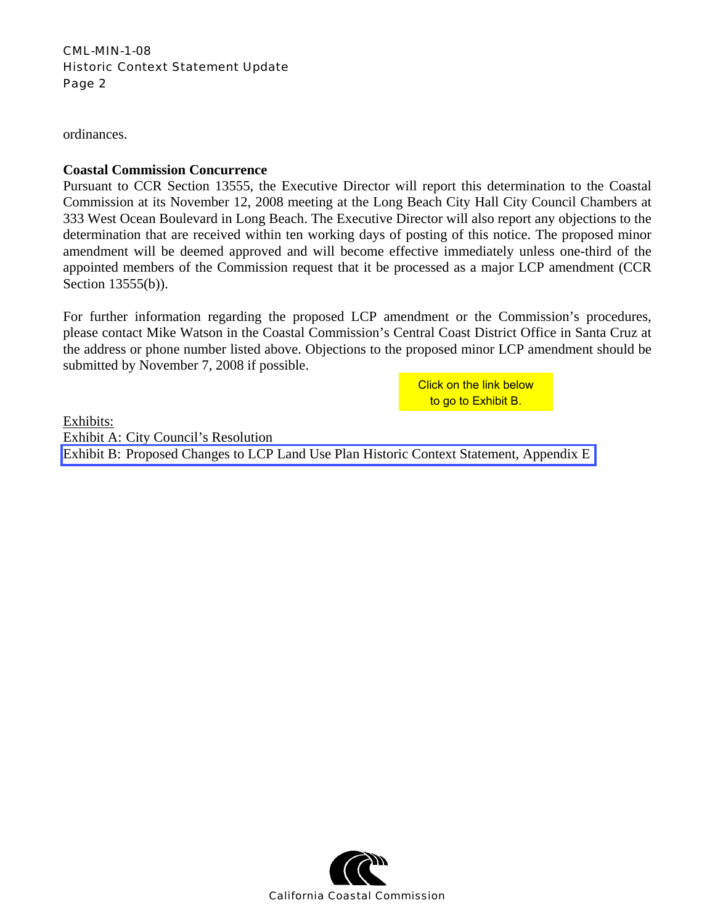## CML-MIN-1-08 Historic Context Statement Update Page 2

ordinances.

## **Coastal Commission Concurrence**

Pursuant to CCR Section 13555, the Executive Director will report this determination to the Coastal Commission at its November 12, 2008 meeting at the Long Beach City Hall City Council Chambers at 333 West Ocean Boulevard in Long Beach. The Executive Director will also report any objections to the determination that are received within ten working days of posting of this notice. The proposed minor amendment will be deemed approved and will become effective immediately unless one-third of the appointed members of the Commission request that it be processed as a major LCP amendment (CCR Section 13555(b)).

For further information regarding the proposed LCP amendment or the Commission's procedures, please contact Mike Watson in the Coastal Commission's Central Coast District Office in Santa Cruz at the address or phone number listed above. Objections to the proposed minor LCP amendment should be submitted by November 7, 2008 if possible.

to go to Exhibit B.

Exhibits: Exhibit A: City Council's Resolution [Exhibit B: Proposed Changes to LCP Land Use Plan Historic Context Statement, Appendix E](http://documents.coastal.ca.gov/reports/2008/11/W11c-11-2008-a1.pdf)  Click on the link below<br>to go to Exhibit B.<br>PLand Use Plan Historic Context Statement, Aproximation Constal Commission